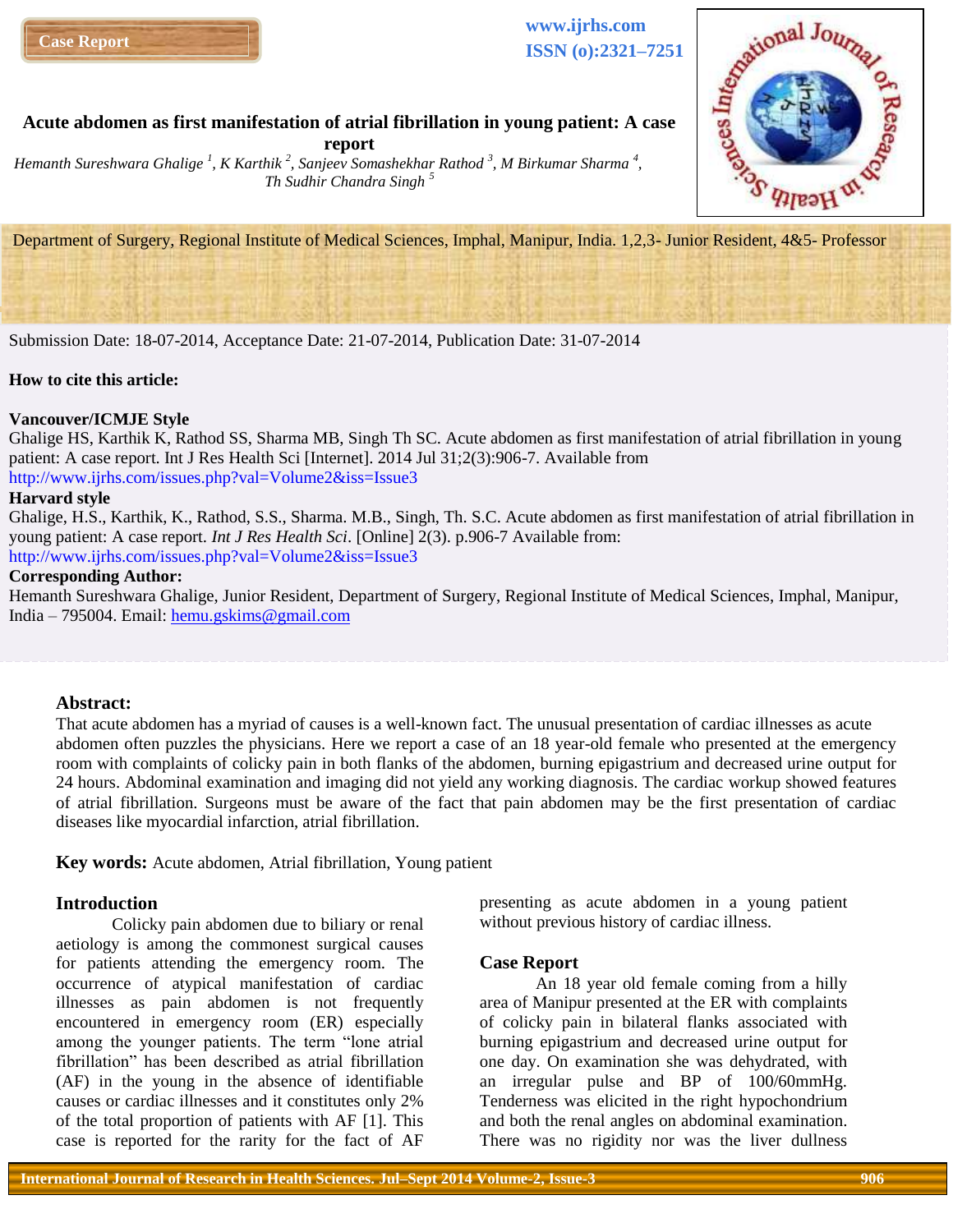

**www.ijrhs.com ISSN (o):2321–7251**



# **Acute abdomen as first manifestation of atrial fibrillation in young patient: A case**

**report** *Hemanth Sureshwara Ghalige <sup>1</sup> , K Karthik <sup>2</sup> , Sanjeev Somashekhar Rathod <sup>3</sup> , M Birkumar Sharma <sup>4</sup> , Th Sudhir Chandra Singh <sup>5</sup>*

Department of Surgery, Regional Institute of Medical Sciences, Imphal, Manipur, India. 1,2,3- Junior Resident, 4&5- Professor

Submission Date: 18-07-2014, Acceptance Date: 21-07-2014, Publication Date: 31-07-2014

#### **How to cite this article:**

### **Vancouver/ICMJE Style**

Ghalige HS, Karthik K, Rathod SS, Sharma MB, Singh Th SC. Acute abdomen as first manifestation of atrial fibrillation in young patient: A case report. Int J Res Health Sci [Internet]. 2014 Jul 31;2(3):906-7. Available from http://www.ijrhs.com/issues.php?val=Volume2&iss=Issue3

#### **Harvard style**

Ghalige, H.S., Karthik, K., Rathod, S.S., Sharma. M.B., Singh, Th. S.C. Acute abdomen as first manifestation of atrial fibrillation in young patient: A case report. *Int J Res Health Sci*. [Online] 2(3). p.906-7 Available from: http://www.ijrhs.com/issues.php?val=Volume2&iss=Issue3

### **Corresponding Author:**

Hemanth Sureshwara Ghalige, Junior Resident, Department of Surgery, Regional Institute of Medical Sciences, Imphal, Manipur, India – 795004. Email: [hemu.gskims@gmail.com](mailto:hemu.gskims@gmail.com)

#### **Abstract:**

That acute abdomen has a myriad of causes is a well-known fact. The unusual presentation of cardiac illnesses as acute abdomen often puzzles the physicians. Here we report a case of an 18 year-old female who presented at the emergency room with complaints of colicky pain in both flanks of the abdomen, burning epigastrium and decreased urine output for 24 hours. Abdominal examination and imaging did not yield any working diagnosis. The cardiac workup showed features of atrial fibrillation. Surgeons must be aware of the fact that pain abdomen may be the first presentation of cardiac diseases like myocardial infarction, atrial fibrillation.

**Key words:** Acute abdomen, Atrial fibrillation, Young patient

### **Introduction**

Colicky pain abdomen due to biliary or renal aetiology is among the commonest surgical causes for patients attending the emergency room. The occurrence of atypical manifestation of cardiac illnesses as pain abdomen is not frequently encountered in emergency room (ER) especially among the younger patients. The term "lone atrial fibrillation" has been described as atrial fibrillation (AF) in the young in the absence of identifiable causes or cardiac illnesses and it constitutes only 2% of the total proportion of patients with AF [1]. This case is reported for the rarity for the fact of AF

presenting as acute abdomen in a young patient without previous history of cardiac illness.

#### **Case Report**

An 18 year old female coming from a hilly area of Manipur presented at the ER with complaints of colicky pain in bilateral flanks associated with burning epigastrium and decreased urine output for one day. On examination she was dehydrated, with an irregular pulse and BP of 100/60mmHg. Tenderness was elicited in the right hypochondrium and both the renal angles on abdominal examination. There was no rigidity nor was the liver dullness